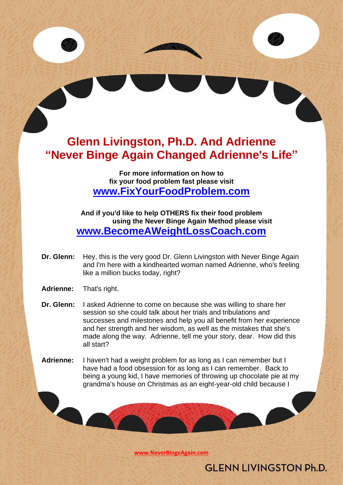# **Glenn Livingston, Ph.D. And Adrienne "Never Binge Again Changed Adrienne's Life"**

**For more information on how to fix your food problem fast please visit [www.FixYourFoodProblem.com](http://www.fixyourfoodproblem.com/)**

**And if you'd like to help OTHERS fix their food problem using the Never Binge Again Method please visit [www.BecomeAWeightLossCoach.com](http://www.becomeaweightlosscoach.com/)**

- **Dr. Glenn:** Hey, this is the very good Dr. Glenn Livingston with Never Binge Again and I'm here with a kindhearted woman named Adrienne, who's feeling like a million bucks today, right?
- **Adrienne:** That's right.
- **Dr. Glenn:** I asked Adrienne to come on because she was willing to share her session so she could talk about her trials and tribulations and successes and milestones and help you all benefit from her experience and her strength and her wisdom, as well as the mistakes that she's made along the way. Adrienne, tell me your story, dear. How did this all start?
- **Adrienne:** I haven't had a weight problem for as long as I can remember but I have had a food obsession for as long as I can remember. Back to being a young kid, I have memories of throwing up chocolate pie at my grandma's house on Christmas as an eight-year-old child because I

**[www.NeverBingeAgain.com](http://www.neverbingeagain.com/)**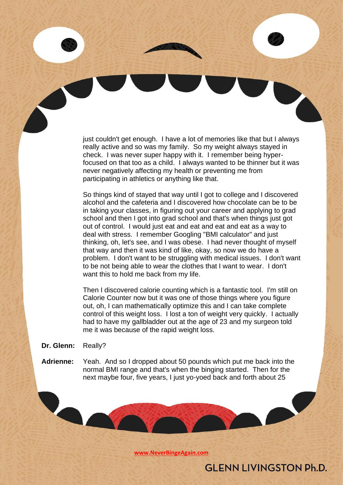just couldn't get enough. I have a lot of memories like that but I always really active and so was my family. So my weight always stayed in check. I was never super happy with it. I remember being hyperfocused on that too as a child. I always wanted to be thinner but it was never negatively affecting my health or preventing me from participating in athletics or anything like that.

So things kind of stayed that way until I got to college and I discovered alcohol and the cafeteria and I discovered how chocolate can be to be in taking your classes, in figuring out your career and applying to grad school and then I got into grad school and that's when things just got out of control. I would just eat and eat and eat and eat as a way to deal with stress. I remember Googling "BMI calculator" and just thinking, oh, let's see, and I was obese. I had never thought of myself that way and then it was kind of like, okay, so now we do have a problem. I don't want to be struggling with medical issues. I don't want to be not being able to wear the clothes that I want to wear. I don't want this to hold me back from my life.

Then I discovered calorie counting which is a fantastic tool. I'm still on Calorie Counter now but it was one of those things where you figure out, oh, I can mathematically optimize this and I can take complete control of this weight loss. I lost a ton of weight very quickly. I actually had to have my gallbladder out at the age of 23 and my surgeon told me it was because of the rapid weight loss.

#### **Dr. Glenn:** Really?

**Adrienne:** Yeah. And so I dropped about 50 pounds which put me back into the normal BMI range and that's when the binging started. Then for the next maybe four, five years, I just yo-yoed back and forth about 25

**[www.NeverBingeAgain.com](http://www.neverbingeagain.com/)**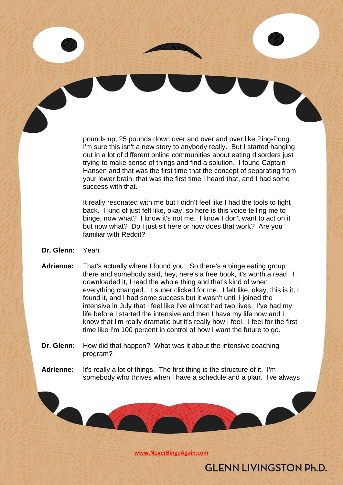pounds up, 25 pounds down over and over and over like Ping-Pong. I'm sure this isn't a new story to anybody really. But I started hanging out in a lot of different online communities about eating disorders just trying to make sense of things and find a solution. I found Captain Hansen and that was the first time that the concept of separating from your lower brain, that was the first time I heard that, and I had some success with that.

It really resonated with me but I didn't feel like I had the tools to fight back. I kind of just felt like, okay, so here is this voice telling me to binge, now what? I know it's not me. I know I don't want to act on it but now what? Do I just sit here or how does that work? Are you familiar with Reddit?

#### **Dr. Glenn:** Yeah.

- **Adrienne:** That's actually where I found you. So there's a binge eating group there and somebody said, hey, here's a free book, it's worth a read. I downloaded it, I read the whole thing and that's kind of when everything changed. It super clicked for me. I felt like, okay, this is it, I found it, and I had some success but it wasn't until I joined the intensive in July that I feel like I've almost had two lives. I've had my life before I started the intensive and then I have my life now and I know that I'm really dramatic but it's really how I feel. I feel for the first time like I'm 100 percent in control of how I want the future to go.
- **Dr. Glenn:** How did that happen? What was it about the intensive coaching program?

**Adrienne:** It's really a lot of things. The first thing is the structure of it. I'm somebody who thrives when I have a schedule and a plan. I've always

**[www.NeverBingeAgain.com](http://www.neverbingeagain.com/)**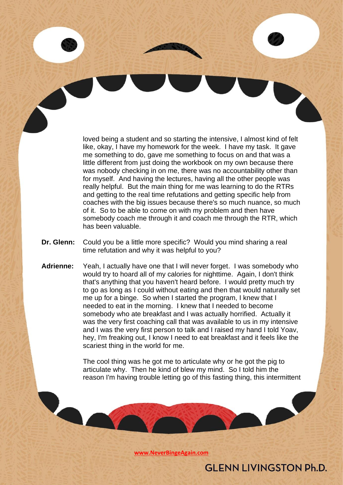loved being a student and so starting the intensive, I almost kind of felt like, okay, I have my homework for the week. I have my task. It gave me something to do, gave me something to focus on and that was a little different from just doing the workbook on my own because there was nobody checking in on me, there was no accountability other than for myself. And having the lectures, having all the other people was really helpful. But the main thing for me was learning to do the RTRs and getting to the real time refutations and getting specific help from coaches with the big issues because there's so much nuance, so much of it. So to be able to come on with my problem and then have somebody coach me through it and coach me through the RTR, which has been valuable.

- **Dr. Glenn:** Could you be a little more specific? Would you mind sharing a real time refutation and why it was helpful to you?
- **Adrienne:** Yeah, I actually have one that I will never forget. I was somebody who would try to hoard all of my calories for nighttime. Again, I don't think that's anything that you haven't heard before. I would pretty much try to go as long as I could without eating and then that would naturally set me up for a binge. So when I started the program, I knew that I needed to eat in the morning. I knew that I needed to become somebody who ate breakfast and I was actually horrified. Actually it was the very first coaching call that was available to us in my intensive and I was the very first person to talk and I raised my hand I told Yoav, hey, I'm freaking out, I know I need to eat breakfast and it feels like the scariest thing in the world for me.

The cool thing was he got me to articulate why or he got the pig to articulate why. Then he kind of blew my mind. So I told him the reason I'm having trouble letting go of this fasting thing, this intermittent

**GLENN LIVINGSTON Ph.D.** 

**[www.NeverBingeAgain.com](http://www.neverbingeagain.com/)**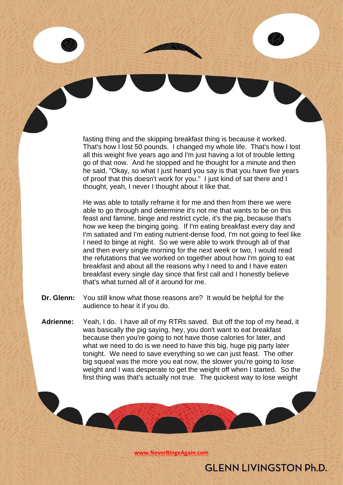fasting thing and the skipping breakfast thing is because it worked. That's how I lost 50 pounds. I changed my whole life. That's how I lost all this weight five years ago and I'm just having a lot of trouble letting go of that now. And he stopped and he thought for a minute and then he said, "Okay, so what I just heard you say is that you have five years of proof that this doesn't work for you." I just kind of sat there and I thought, yeah, I never I thought about it like that.

He was able to totally reframe it for me and then from there we were able to go through and determine it's not me that wants to be on this feast and famine, binge and restrict cycle, it's the pig, because that's how we keep the binging going. If I'm eating breakfast every day and I'm satiated and I'm eating nutrient-dense food, I'm not going to feel like I need to binge at night. So we were able to work through all of that and then every single morning for the next week or two, I would read the refutations that we worked on together about how I'm going to eat breakfast and about all the reasons why I need to and I have eaten breakfast every single day since that first call and I honestly believe that's what turned all of it around for me.

- **Dr. Glenn:** You still know what those reasons are? It would be helpful for the audience to hear it if you do.
- **Adrienne:** Yeah, I do. I have all of my RTRs saved. But off the top of my head, it was basically the pig saying, hey, you don't want to eat breakfast because then you're going to not have those calories for later, and what we need to do is we need to have this big, huge pig party later tonight. We need to save everything so we can just feast. The other big squeal was the more you eat now, the slower you're going to lose weight and I was desperate to get the weight off when I started. So the first thing was that's actually not true. The quickest way to lose weight

**[www.NeverBingeAgain.com](http://www.neverbingeagain.com/)**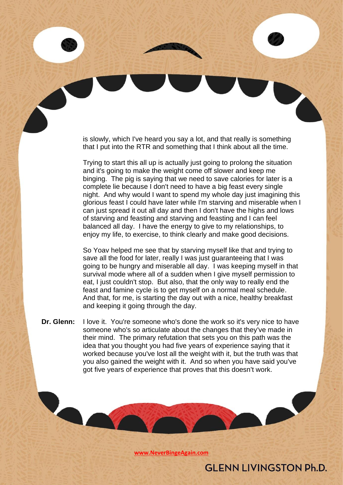is slowly, which I've heard you say a lot, and that really is something that I put into the RTR and something that I think about all the time.

Trying to start this all up is actually just going to prolong the situation and it's going to make the weight come off slower and keep me binging. The pig is saying that we need to save calories for later is a complete lie because I don't need to have a big feast every single night. And why would I want to spend my whole day just imagining this glorious feast I could have later while I'm starving and miserable when I can just spread it out all day and then I don't have the highs and lows of starving and feasting and starving and feasting and I can feel balanced all day. I have the energy to give to my relationships, to enjoy my life, to exercise, to think clearly and make good decisions.

So Yoav helped me see that by starving myself like that and trying to save all the food for later, really I was just guaranteeing that I was going to be hungry and miserable all day. I was keeping myself in that survival mode where all of a sudden when I give myself permission to eat, I just couldn't stop. But also, that the only way to really end the feast and famine cycle is to get myself on a normal meal schedule. And that, for me, is starting the day out with a nice, healthy breakfast and keeping it going through the day.

**Dr. Glenn:** I love it. You're someone who's done the work so it's very nice to have someone who's so articulate about the changes that they've made in their mind. The primary refutation that sets you on this path was the idea that you thought you had five years of experience saying that it worked because you've lost all the weight with it, but the truth was that you also gained the weight with it. And so when you have said you've got five years of experience that proves that this doesn't work.

**[www.NeverBingeAgain.com](http://www.neverbingeagain.com/)**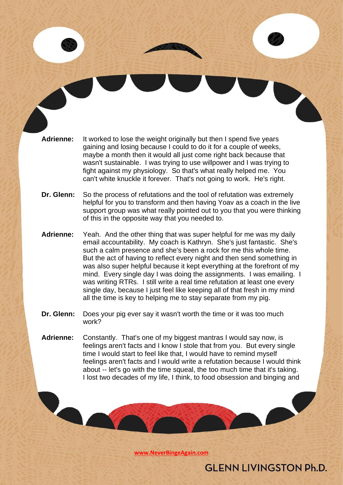- **Adrienne:** It worked to lose the weight originally but then I spend five years gaining and losing because I could to do it for a couple of weeks, maybe a month then it would all just come right back because that wasn't sustainable. I was trying to use willpower and I was trying to fight against my physiology. So that's what really helped me. You can't white knuckle it forever. That's not going to work. He's right.
- **Dr. Glenn:** So the process of refutations and the tool of refutation was extremely helpful for you to transform and then having Yoav as a coach in the live support group was what really pointed out to you that you were thinking of this in the opposite way that you needed to.
- **Adrienne:** Yeah. And the other thing that was super helpful for me was my daily email accountability. My coach is Kathryn. She's just fantastic. She's such a calm presence and she's been a rock for me this whole time. But the act of having to reflect every night and then send something in was also super helpful because it kept everything at the forefront of my mind. Every single day I was doing the assignments. I was emailing. I was writing RTRs. I still write a real time refutation at least one every single day, because I just feel like keeping all of that fresh in my mind all the time is key to helping me to stay separate from my pig.
- **Dr. Glenn:** Does your pig ever say it wasn't worth the time or it was too much work?
- **Adrienne:** Constantly. That's one of my biggest mantras I would say now, is feelings aren't facts and I know I stole that from you. But every single time I would start to feel like that, I would have to remind myself feelings aren't facts and I would write a refutation because I would think about -- let's go with the time squeal, the too much time that it's taking. I lost two decades of my life, I think, to food obsession and binging and

**[www.NeverBingeAgain.com](http://www.neverbingeagain.com/)**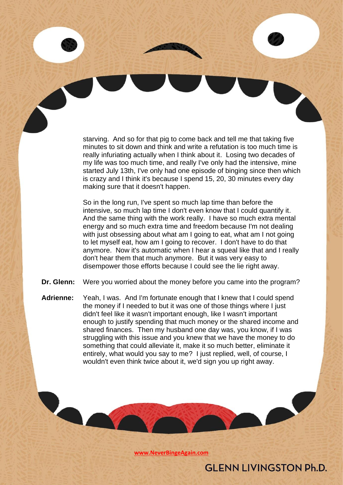starving. And so for that pig to come back and tell me that taking five minutes to sit down and think and write a refutation is too much time is really infuriating actually when I think about it. Losing two decades of my life was too much time, and really I've only had the intensive, mine started July 13th, I've only had one episode of binging since then which is crazy and I think it's because I spend 15, 20, 30 minutes every day making sure that it doesn't happen.

So in the long run, I've spent so much lap time than before the intensive, so much lap time I don't even know that I could quantify it. And the same thing with the work really. I have so much extra mental energy and so much extra time and freedom because I'm not dealing with just obsessing about what am I going to eat, what am I not going to let myself eat, how am I going to recover. I don't have to do that anymore. Now it's automatic when I hear a squeal like that and I really don't hear them that much anymore. But it was very easy to disempower those efforts because I could see the lie right away.

- **Dr. Glenn:** Were you worried about the money before you came into the program?
- **Adrienne:** Yeah, I was. And I'm fortunate enough that I knew that I could spend the money if I needed to but it was one of those things where I just didn't feel like it wasn't important enough, like I wasn't important enough to justify spending that much money or the shared income and shared finances. Then my husband one day was, you know, if I was struggling with this issue and you knew that we have the money to do something that could alleviate it, make it so much better, eliminate it entirely, what would you say to me? I just replied, well, of course, I wouldn't even think twice about it, we'd sign you up right away.

**[www.NeverBingeAgain.com](http://www.neverbingeagain.com/)**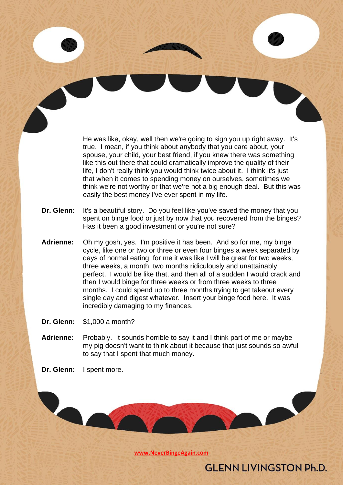He was like, okay, well then we're going to sign you up right away. It's true. I mean, if you think about anybody that you care about, your spouse, your child, your best friend, if you knew there was something like this out there that could dramatically improve the quality of their life, I don't really think you would think twice about it. I think it's just that when it comes to spending money on ourselves, sometimes we think we're not worthy or that we're not a big enough deal. But this was easily the best money I've ever spent in my life.

- **Dr. Glenn:** It's a beautiful story. Do you feel like you've saved the money that you spent on binge food or just by now that you recovered from the binges? Has it been a good investment or you're not sure?
- **Adrienne:** Oh my gosh, yes. I'm positive it has been. And so for me, my binge cycle, like one or two or three or even four binges a week separated by days of normal eating, for me it was like I will be great for two weeks, three weeks, a month, two months ridiculously and unattainably perfect. I would be like that, and then all of a sudden I would crack and then I would binge for three weeks or from three weeks to three months. I could spend up to three months trying to get takeout every single day and digest whatever. Insert your binge food here. It was incredibly damaging to my finances.

**Dr. Glenn:** \$1,000 a month?

- **Adrienne:** Probably. It sounds horrible to say it and I think part of me or maybe my pig doesn't want to think about it because that just sounds so awful to say that I spent that much money.
- **Dr. Glenn:** I spent more.

**[www.NeverBingeAgain.com](http://www.neverbingeagain.com/)**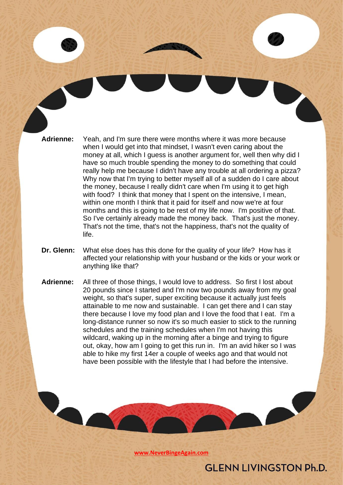**Adrienne:** Yeah, and I'm sure there were months where it was more because when I would get into that mindset, I wasn't even caring about the money at all, which I guess is another argument for, well then why did I have so much trouble spending the money to do something that could really help me because I didn't have any trouble at all ordering a pizza? Why now that I'm trying to better myself all of a sudden do I care about the money, because I really didn't care when I'm using it to get high with food? I think that money that I spent on the intensive, I mean, within one month I think that it paid for itself and now we're at four months and this is going to be rest of my life now. I'm positive of that. So I've certainly already made the money back. That's just the money. That's not the time, that's not the happiness, that's not the quality of life.

- **Dr. Glenn:** What else does has this done for the quality of your life? How has it affected your relationship with your husband or the kids or your work or anything like that?
- **Adrienne:** All three of those things, I would love to address. So first I lost about 20 pounds since I started and I'm now two pounds away from my goal weight, so that's super, super exciting because it actually just feels attainable to me now and sustainable. I can get there and I can stay there because I love my food plan and I love the food that I eat. I'm a long-distance runner so now it's so much easier to stick to the running schedules and the training schedules when I'm not having this wildcard, waking up in the morning after a binge and trying to figure out, okay, how am I going to get this run in. I'm an avid hiker so I was able to hike my first 14er a couple of weeks ago and that would not have been possible with the lifestyle that I had before the intensive.

**[www.NeverBingeAgain.com](http://www.neverbingeagain.com/)**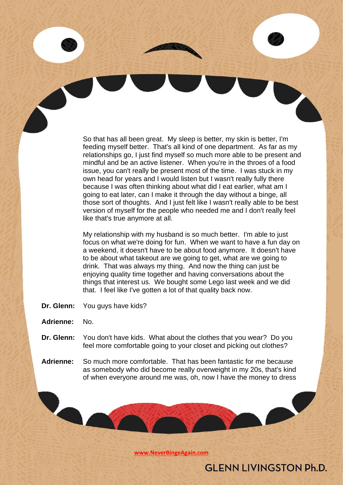So that has all been great. My sleep is better, my skin is better, I'm feeding myself better. That's all kind of one department. As far as my relationships go, I just find myself so much more able to be present and mindful and be an active listener. When you're in the throes of a food issue, you can't really be present most of the time. I was stuck in my own head for years and I would listen but I wasn't really fully there because I was often thinking about what did I eat earlier, what am I going to eat later, can I make it through the day without a binge, all those sort of thoughts. And I just felt like I wasn't really able to be best version of myself for the people who needed me and I don't really feel like that's true anymore at all.

My relationship with my husband is so much better. I'm able to just focus on what we're doing for fun. When we want to have a fun day on a weekend, it doesn't have to be about food anymore. It doesn't have to be about what takeout are we going to get, what are we going to drink. That was always my thing. And now the thing can just be enjoying quality time together and having conversations about the things that interest us. We bought some Lego last week and we did that. I feel like I've gotten a lot of that quality back now.

**Dr. Glenn:** You guys have kids?

- **Adrienne:** No.
- **Dr. Glenn:** You don't have kids. What about the clothes that you wear? Do you feel more comfortable going to your closet and picking out clothes?
- **Adrienne:** So much more comfortable. That has been fantastic for me because as somebody who did become really overweight in my 20s, that's kind of when everyone around me was, oh, now I have the money to dress

**[www.NeverBingeAgain.com](http://www.neverbingeagain.com/)**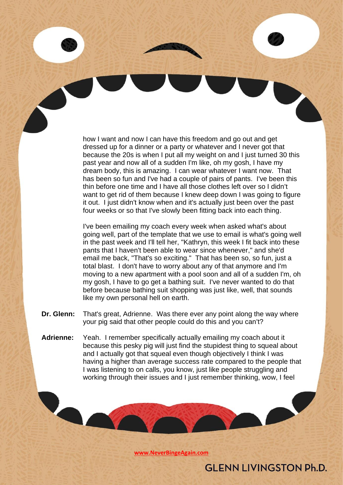how I want and now I can have this freedom and go out and get dressed up for a dinner or a party or whatever and I never got that because the 20s is when I put all my weight on and I just turned 30 this past year and now all of a sudden I'm like, oh my gosh, I have my dream body, this is amazing. I can wear whatever I want now. That has been so fun and I've had a couple of pairs of pants. I've been this thin before one time and I have all those clothes left over so I didn't want to get rid of them because I knew deep down I was going to figure it out. I just didn't know when and it's actually just been over the past four weeks or so that I've slowly been fitting back into each thing.

I've been emailing my coach every week when asked what's about going well, part of the template that we use to email is what's going well in the past week and I'll tell her, "Kathryn, this week I fit back into these pants that I haven't been able to wear since whenever," and she'd email me back, "That's so exciting." That has been so, so fun, just a total blast. I don't have to worry about any of that anymore and I'm moving to a new apartment with a pool soon and all of a sudden I'm, oh my gosh, I have to go get a bathing suit. I've never wanted to do that before because bathing suit shopping was just like, well, that sounds like my own personal hell on earth.

- **Dr. Glenn:** That's great, Adrienne. Was there ever any point along the way where your pig said that other people could do this and you can't?
- **Adrienne:** Yeah. I remember specifically actually emailing my coach about it because this pesky pig will just find the stupidest thing to squeal about and I actually got that squeal even though objectively I think I was having a higher than average success rate compared to the people that I was listening to on calls, you know, just like people struggling and working through their issues and I just remember thinking, wow, I feel

**[www.NeverBingeAgain.com](http://www.neverbingeagain.com/)**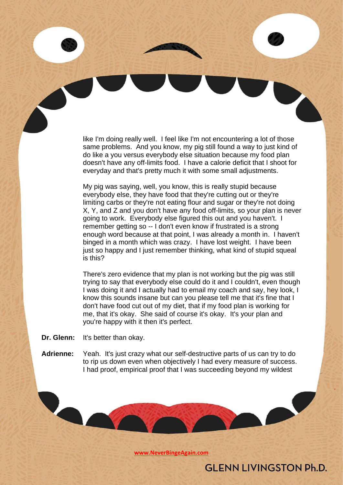like I'm doing really well. I feel like I'm not encountering a lot of those same problems. And you know, my pig still found a way to just kind of do like a you versus everybody else situation because my food plan doesn't have any off-limits food. I have a calorie deficit that I shoot for everyday and that's pretty much it with some small adjustments.

My pig was saying, well, you know, this is really stupid because everybody else, they have food that they're cutting out or they're limiting carbs or they're not eating flour and sugar or they're not doing X, Y, and Z and you don't have any food off-limits, so your plan is never going to work. Everybody else figured this out and you haven't. I remember getting so -- I don't even know if frustrated is a strong enough word because at that point, I was already a month in. I haven't binged in a month which was crazy. I have lost weight. I have been just so happy and I just remember thinking, what kind of stupid squeal is this?

There's zero evidence that my plan is not working but the pig was still trying to say that everybody else could do it and I couldn't, even though I was doing it and I actually had to email my coach and say, hey look, I know this sounds insane but can you please tell me that it's fine that I don't have food cut out of my diet, that if my food plan is working for me, that it's okay. She said of course it's okay. It's your plan and you're happy with it then it's perfect.

**Dr. Glenn:** It's better than okay.

**Adrienne:** Yeah. It's just crazy what our self-destructive parts of us can try to do to rip us down even when objectively I had every measure of success. I had proof, empirical proof that I was succeeding beyond my wildest

**[www.NeverBingeAgain.com](http://www.neverbingeagain.com/)**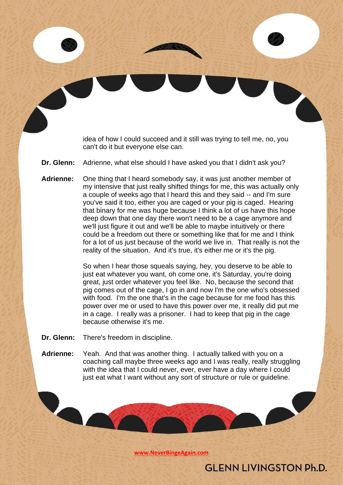idea of how I could succeed and it still was trying to tell me, no, you can't do it but everyone else can.

- **Dr. Glenn:** Adrienne, what else should I have asked you that I didn't ask you?
- **Adrienne:** One thing that I heard somebody say, it was just another member of my intensive that just really shifted things for me, this was actually only a couple of weeks ago that I heard this and they said -- and I'm sure you've said it too, either you are caged or your pig is caged. Hearing that binary for me was huge because I think a lot of us have this hope deep down that one day there won't need to be a cage anymore and we'll just figure it out and we'll be able to maybe intuitively or there could be a freedom out there or something like that for me and I think for a lot of us just because of the world we live in. That really is not the reality of the situation. And it's true, it's either me or it's the pig.

So when I hear those squeals saying, hey, you deserve to be able to just eat whatever you want, oh come one, it's Saturday, you're doing great, just order whatever you feel like. No, because the second that pig comes out of the cage, I go in and now I'm the one who's obsessed with food. I'm the one that's in the cage because for me food has this power over me or used to have this power over me, it really did put me in a cage. I really was a prisoner. I had to keep that pig in the cage because otherwise it's me.

**Dr. Glenn:** There's freedom in discipline.

**Adrienne:** Yeah. And that was another thing. I actually talked with you on a coaching call maybe three weeks ago and I was really, really struggling with the idea that I could never, ever, ever have a day where I could just eat what I want without any sort of structure or rule or quideline.

**[www.NeverBingeAgain.com](http://www.neverbingeagain.com/)**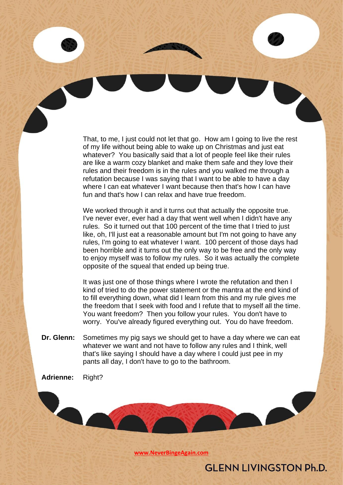That, to me, I just could not let that go. How am I going to live the rest of my life without being able to wake up on Christmas and just eat whatever? You basically said that a lot of people feel like their rules are like a warm cozy blanket and make them safe and they love their rules and their freedom is in the rules and you walked me through a refutation because I was saying that I want to be able to have a day where I can eat whatever I want because then that's how I can have fun and that's how I can relax and have true freedom.

We worked through it and it turns out that actually the opposite true. I've never ever, ever had a day that went well when I didn't have any rules. So it turned out that 100 percent of the time that I tried to just like, oh, I'll just eat a reasonable amount but I'm not going to have any rules, I'm going to eat whatever I want. 100 percent of those days had been horrible and it turns out the only way to be free and the only way to enjoy myself was to follow my rules. So it was actually the complete opposite of the squeal that ended up being true.

It was just one of those things where I wrote the refutation and then I kind of tried to do the power statement or the mantra at the end kind of to fill everything down, what did I learn from this and my rule gives me the freedom that I seek with food and I refute that to myself all the time. You want freedom? Then you follow your rules. You don't have to worry. You've already figured everything out. You do have freedom.

**Dr. Glenn:** Sometimes my pig says we should get to have a day where we can eat whatever we want and not have to follow any rules and I think, well that's like saying I should have a day where I could just pee in my pants all day, I don't have to go to the bathroom.

**Adrienne:** Right?

**[www.NeverBingeAgain.com](http://www.neverbingeagain.com/)**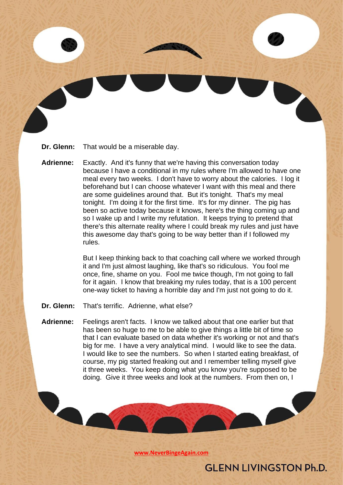**Dr. Glenn:** That would be a miserable day.

**Adrienne:** Exactly. And it's funny that we're having this conversation today because I have a conditional in my rules where I'm allowed to have one meal every two weeks. I don't have to worry about the calories. I log it beforehand but I can choose whatever I want with this meal and there are some guidelines around that. But it's tonight. That's my meal tonight. I'm doing it for the first time. It's for my dinner. The pig has been so active today because it knows, here's the thing coming up and so I wake up and I write my refutation. It keeps trying to pretend that there's this alternate reality where I could break my rules and just have this awesome day that's going to be way better than if I followed my rules.

> But I keep thinking back to that coaching call where we worked through it and I'm just almost laughing, like that's so ridiculous. You fool me once, fine, shame on you. Fool me twice though, I'm not going to fall for it again. I know that breaking my rules today, that is a 100 percent one-way ticket to having a horrible day and I'm just not going to do it.

- **Dr. Glenn:** That's terrific. Adrienne, what else?
- **Adrienne:** Feelings aren't facts. I know we talked about that one earlier but that has been so huge to me to be able to give things a little bit of time so that I can evaluate based on data whether it's working or not and that's big for me. I have a very analytical mind. I would like to see the data. I would like to see the numbers. So when I started eating breakfast, of course, my pig started freaking out and I remember telling myself give it three weeks. You keep doing what you know you're supposed to be doing. Give it three weeks and look at the numbers. From then on, I

**[www.NeverBingeAgain.com](http://www.neverbingeagain.com/)**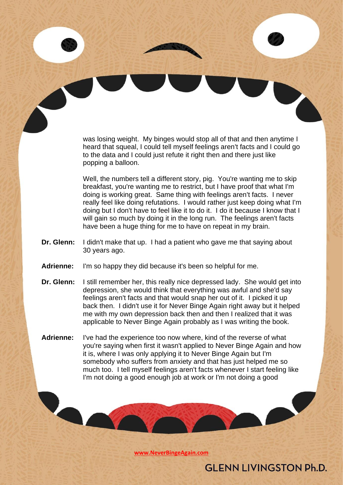was losing weight. My binges would stop all of that and then anytime I heard that squeal, I could tell myself feelings aren't facts and I could go to the data and I could just refute it right then and there just like popping a balloon.

Well, the numbers tell a different story, pig. You're wanting me to skip breakfast, you're wanting me to restrict, but I have proof that what I'm doing is working great. Same thing with feelings aren't facts. I never really feel like doing refutations. I would rather just keep doing what I'm doing but I don't have to feel like it to do it. I do it because I know that I will gain so much by doing it in the long run. The feelings aren't facts have been a huge thing for me to have on repeat in my brain.

- **Dr. Glenn:** I didn't make that up. I had a patient who gave me that saying about 30 years ago.
- **Adrienne:** I'm so happy they did because it's been so helpful for me.
- **Dr. Glenn:** I still remember her, this really nice depressed lady. She would get into depression, she would think that everything was awful and she'd say feelings aren't facts and that would snap her out of it. I picked it up back then. I didn't use it for Never Binge Again right away but it helped me with my own depression back then and then I realized that it was applicable to Never Binge Again probably as I was writing the book.
- **Adrienne:** I've had the experience too now where, kind of the reverse of what you're saying when first it wasn't applied to Never Binge Again and how it is, where I was only applying it to Never Binge Again but I'm somebody who suffers from anxiety and that has just helped me so much too. I tell myself feelings aren't facts whenever I start feeling like I'm not doing a good enough job at work or I'm not doing a good

**[www.NeverBingeAgain.com](http://www.neverbingeagain.com/)**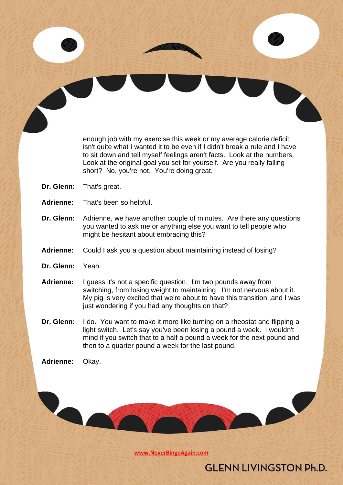enough job with my exercise this week or my average calorie deficit isn't quite what I wanted it to be even if I didn't break a rule and I have to sit down and tell myself feelings aren't facts. Look at the numbers. Look at the original goal you set for yourself. Are you really falling short? No, you're not. You're doing great.

- **Dr. Glenn:** That's great.
- **Adrienne:** That's been so helpful.
- **Dr. Glenn:** Adrienne, we have another couple of minutes. Are there any questions you wanted to ask me or anything else you want to tell people who might be hesitant about embracing this?

#### **Adrienne:** Could I ask you a question about maintaining instead of losing?

- **Dr. Glenn:** Yeah.
- **Adrienne:** I guess it's not a specific question. I'm two pounds away from switching, from losing weight to maintaining. I'm not nervous about it. My pig is very excited that we're about to have this transition ,and I was just wondering if you had any thoughts on that?
- **Dr. Glenn:** I do. You want to make it more like turning on a rheostat and flipping a light switch. Let's say you've been losing a pound a week. I wouldn't mind if you switch that to a half a pound a week for the next pound and then to a quarter pound a week for the last pound.

**Adrienne:** Okay.

**[www.NeverBingeAgain.com](http://www.neverbingeagain.com/)**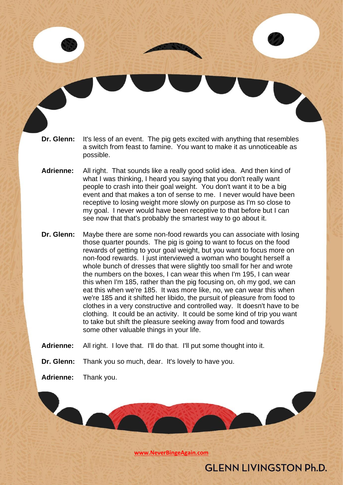- **Dr. Glenn:** It's less of an event. The pig gets excited with anything that resembles a switch from feast to famine. You want to make it as unnoticeable as possible.
- **Adrienne:** All right. That sounds like a really good solid idea. And then kind of what I was thinking, I heard you saying that you don't really want people to crash into their goal weight. You don't want it to be a big event and that makes a ton of sense to me. I never would have been receptive to losing weight more slowly on purpose as I'm so close to my goal. I never would have been receptive to that before but I can see now that that's probably the smartest way to go about it.
- **Dr. Glenn:** Maybe there are some non-food rewards you can associate with losing those quarter pounds. The pig is going to want to focus on the food rewards of getting to your goal weight, but you want to focus more on non-food rewards. I just interviewed a woman who bought herself a whole bunch of dresses that were slightly too small for her and wrote the numbers on the boxes, I can wear this when I'm 195, I can wear this when I'm 185, rather than the pig focusing on, oh my god, we can eat this when we're 185. It was more like, no, we can wear this when we're 185 and it shifted her libido, the pursuit of pleasure from food to clothes in a very constructive and controlled way. It doesn't have to be clothing. It could be an activity. It could be some kind of trip you want to take but shift the pleasure seeking away from food and towards some other valuable things in your life.
- **Adrienne:** All right. I love that. I'll do that. I'll put some thought into it.
- **Dr. Glenn:** Thank you so much, dear. It's lovely to have you.
- **Adrienne:** Thank you.

**[www.NeverBingeAgain.com](http://www.neverbingeagain.com/)**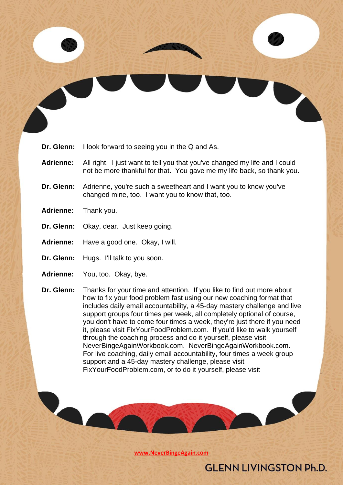- **Dr. Glenn:** I look forward to seeing you in the Q and As.
- **Adrienne:** All right. I just want to tell you that you've changed my life and I could not be more thankful for that. You gave me my life back, so thank you.
- **Dr. Glenn:** Adrienne, you're such a sweetheart and I want you to know you've changed mine, too. I want you to know that, too.
- **Adrienne:** Thank you.
- **Dr. Glenn:** Okay, dear. Just keep going.
- **Adrienne:** Have a good one. Okay, I will.

- **Dr. Glenn:** Hugs. I'll talk to you soon.
- **Adrienne:** You, too. Okay, bye.
- **Dr. Glenn:** Thanks for your time and attention. If you like to find out more about how to fix your food problem fast using our new coaching format that includes daily email accountability, a 45-day mastery challenge and live support groups four times per week, all completely optional of course, you don't have to come four times a week, they're just there if you need it, please visit FixYourFoodProblem.com. If you'd like to walk yourself through the coaching process and do it yourself, please visit NeverBingeAgainWorkbook.com. NeverBingeAgainWorkbook.com. For live coaching, daily email accountability, four times a week group support and a 45-day mastery challenge, please visit FixYourFoodProblem.com, or to do it yourself, please visit

**[www.NeverBingeAgain.com](http://www.neverbingeagain.com/)**